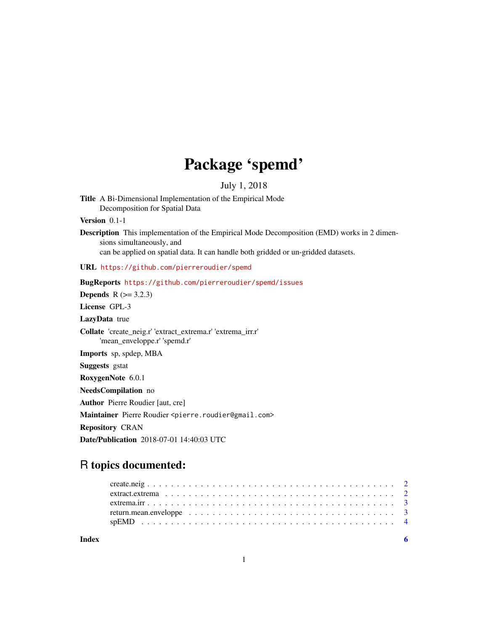# Package 'spemd'

# July 1, 2018

Title A Bi-Dimensional Implementation of the Empirical Mode Decomposition for Spatial Data

Version 0.1-1

Description This implementation of the Empirical Mode Decomposition (EMD) works in 2 dimensions simultaneously, and can be applied on spatial data. It can handle both gridded or un-gridded datasets.

URL <https://github.com/pierreroudier/spemd>

BugReports <https://github.com/pierreroudier/spemd/issues>

**Depends**  $R (= 3.2.3)$ 

License GPL-3

LazyData true

Collate 'create\_neig.r' 'extract\_extrema.r' 'extrema\_irr.r' 'mean\_enveloppe.r' 'spemd.r'

Imports sp, spdep, MBA

Suggests gstat

RoxygenNote 6.0.1

NeedsCompilation no

Author Pierre Roudier [aut, cre]

Maintainer Pierre Roudier <pierre.roudier@gmail.com>

Repository CRAN

Date/Publication 2018-07-01 14:40:03 UTC

# R topics documented:

| Index |  |
|-------|--|
|       |  |
|       |  |
|       |  |
|       |  |
|       |  |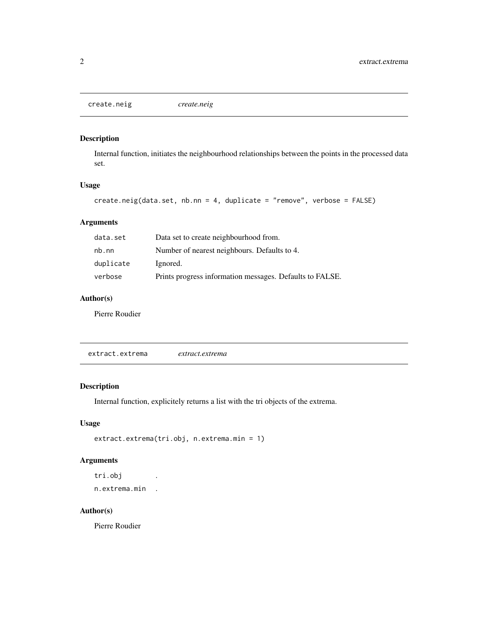<span id="page-1-0"></span>create.neig *create.neig*

#### Description

Internal function, initiates the neighbourhood relationships between the points in the processed data set.

#### Usage

```
create.neig(data.set, nb.nn = 4, duplicate = "remove", verbose = FALSE)
```
#### Arguments

| data.set  | Data set to create neighbourhood from.                   |
|-----------|----------------------------------------------------------|
| nb. nn    | Number of nearest neighbours. Defaults to 4.             |
| duplicate | Ignored.                                                 |
| verbose   | Prints progress information messages. Defaults to FALSE. |

#### Author(s)

Pierre Roudier

extract.extrema *extract.extrema*

#### Description

Internal function, explicitely returns a list with the tri objects of the extrema.

#### Usage

```
extract.extrema(tri.obj, n.extrema.min = 1)
```
# Arguments

tri.obj . n.extrema.min .

#### Author(s)

Pierre Roudier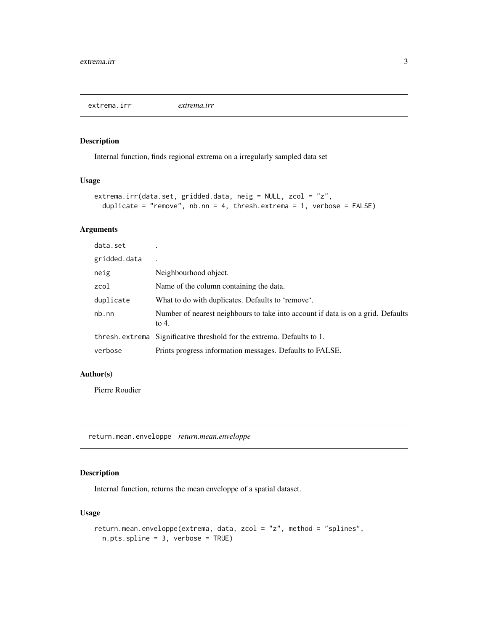<span id="page-2-0"></span>extrema.irr *extrema.irr*

#### Description

Internal function, finds regional extrema on a irregularly sampled data set

#### Usage

```
extrema.irr(data.set, gridded.data, neig = NULL, zcol = "z",
  duplicate = "remove", nb.nn = 4, thresh.extrema = 1, verbose = FALSE)
```
#### Arguments

| data.set     |                                                                                           |
|--------------|-------------------------------------------------------------------------------------------|
| gridded.data |                                                                                           |
| neig         | Neighbourhood object.                                                                     |
| zcol         | Name of the column containing the data.                                                   |
| duplicate    | What to do with duplicates. Defaults to 'remove'.                                         |
| nb.nn        | Number of nearest neighbours to take into account if data is on a grid. Defaults<br>to 4. |
|              | thresh. extrema Significative threshold for the extrema. Defaults to 1.                   |
| verbose      | Prints progress information messages. Defaults to FALSE.                                  |

#### Author(s)

Pierre Roudier

return.mean.enveloppe *return.mean.enveloppe*

#### Description

Internal function, returns the mean enveloppe of a spatial dataset.

#### Usage

```
return.mean.enveloppe(extrema, data, zcol = "z", method = "splines",
 n.pts.spline = 3, verbose = TRUE)
```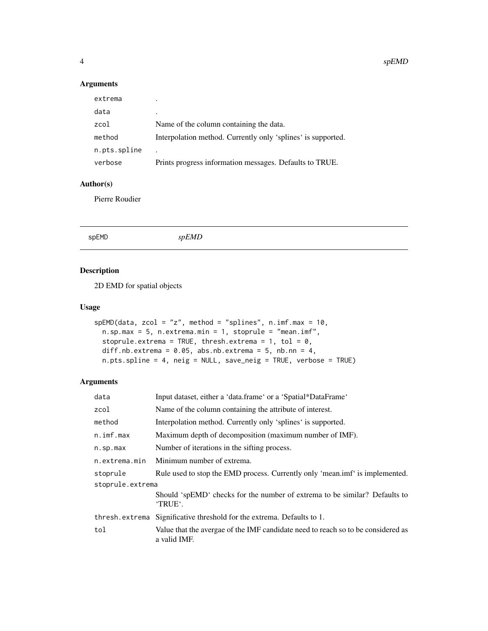#### Arguments

| ٠                                                            |
|--------------------------------------------------------------|
| Name of the column containing the data.                      |
| Interpolation method. Currently only 'splines' is supported. |
|                                                              |
| Prints progress information messages. Defaults to TRUE.      |
|                                                              |

## Author(s)

Pierre Roudier

|  | spEMD | spEMD |  |  |  |
|--|-------|-------|--|--|--|
|--|-------|-------|--|--|--|

## Description

2D EMD for spatial objects

#### Usage

```
spEMD(data, zcol = "z", method = "splines", n.imf.max = 10,
 n.\text{sp.max} = 5, n.\text{extrema.min} = 1, \text{stoprule} = "mean.inf",stoprule.extrema = TRUE, thresh.extrema = 1, tol = 0,
 diff.nb.extrema = 0.05, abs.nb.extrema = 5, nb.nn = 4,
 n.pts.spline = 4, neig = NULL, save_neig = TRUE, verbose = TRUE)
```
#### Arguments

| data              | Input dataset, either a 'data.frame' or a 'Spatial*DataFrame'                                    |  |
|-------------------|--------------------------------------------------------------------------------------------------|--|
| zcol              | Name of the column containing the attribute of interest.                                         |  |
| method            | Interpolation method. Currently only 'splines' is supported.                                     |  |
| $n.$ imf.max      | Maximum depth of decomposition (maximum number of IMF).                                          |  |
| $n.\text{sp.max}$ | Number of iterations in the sifting process.                                                     |  |
| n.extrema.min     | Minimum number of extrema.                                                                       |  |
| stoprule          | Rule used to stop the EMD process. Currently only 'mean.imf' is implemented.                     |  |
| stoprule.extrema  |                                                                                                  |  |
|                   | Should 'spEMD' checks for the number of extrema to be similar? Defaults to<br>'TRUE'.            |  |
| thresh.extrema    | Significative threshold for the extrema. Defaults to 1.                                          |  |
| tol               | Value that the avergae of the IMF candidate need to reach so to be considered as<br>a valid IMF. |  |

<span id="page-3-0"></span>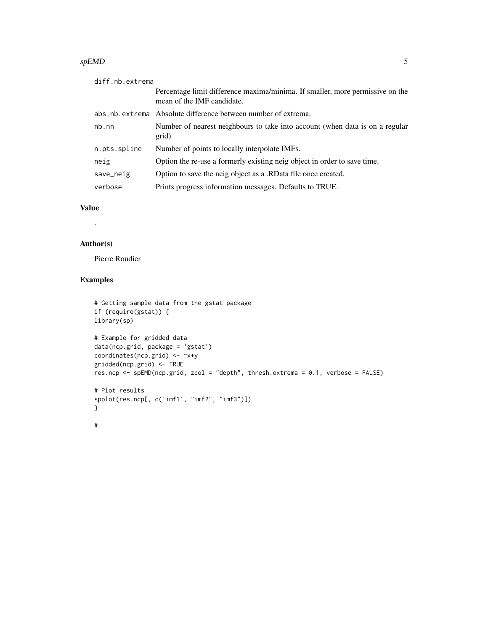#### $s$ p $\epsilon$ MD 5

| diff.nb.extrema |                                                                                                             |
|-----------------|-------------------------------------------------------------------------------------------------------------|
|                 | Percentage limit difference maxima/minima. If smaller, more permissive on the<br>mean of the IMF candidate. |
|                 | abs.nb.extrema Absolute difference between number of extrema.                                               |
| nb.nn           | Number of nearest neighbours to take into account (when data is on a regular<br>grid).                      |
| n.pts.spline    | Number of points to locally interpolate IMFs.                                                               |
| neig            | Option the re-use a formerly existing neig object in order to save time.                                    |
| save_neig       | Option to save the neig object as a .RD at a file once created.                                             |
| verbose         | Prints progress information messages. Defaults to TRUE.                                                     |

#### Value

.

#### Author(s)

Pierre Roudier

#### Examples

```
# Getting sample data from the gstat package
if (require(gstat)) {
library(sp)
# Example for gridded data
data(ncp.grid, package = 'gstat')
coordinates(ncp.grid) <- ~x+y
gridded(ncp.grid) <- TRUE
res.ncp <- spEMD(ncp.grid, zcol = "depth", thresh.extrema = 0.1, verbose = FALSE)
# Plot results
spplot(res.ncp[, c('imf1', "imf2", "imf3")])
}
#
```